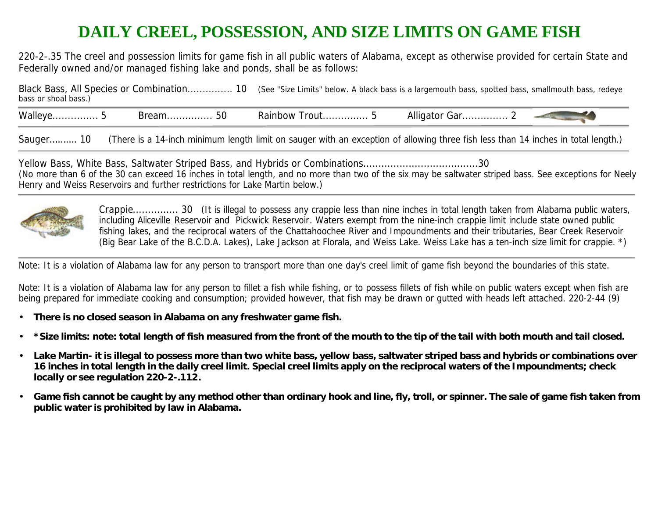## **DAILY CREEL, POSSESSION, AND SIZE LIMITS ON GAME FISH**

220-2-.35 The creel and possession limits for game fish in all public waters of Alabama, except as otherwise provided for certain State and Federally owned and/or managed fishing lake and ponds, shall be as follows:

| bass or shoal bass.) | Black Bass, All Species or Combination 10 (See "Size Limits" below. A black bass is a largemouth bass, spotted bass, smallmouth bass, redeye |
|----------------------|----------------------------------------------------------------------------------------------------------------------------------------------|
|                      |                                                                                                                                              |

Walleye............... 5 Bream............... 50 Rainbow Trout............... 5 Alligator Gar............... 2

Sauger………. 10 (There is a 14-inch minimum length limit on sauger with an exception of allowing three fish less than 14 inches in total length.)

Yellow Bass, White Bass, Saltwater Striped Bass, and Hybrids or Combinations......................................30 (No more than 6 of the 30 can exceed 16 inches in total length, and no more than two of the six may be saltwater striped bass. See exceptions for Neely Henry and Weiss Reservoirs and further restrictions for Lake Martin below.)



Crappie............... 30 (It is illegal to possess any crappie less than nine inches in total length taken from Alabama public waters, including Aliceville Reservoir and Pickwick Reservoir. Waters exempt from the nine-inch crappie limit include state owned public fishing lakes, and the reciprocal waters of the Chattahoochee River and Impoundments and their tributaries, Bear Creek Reservoir (Big Bear Lake of the B.C.D.A. Lakes), Lake Jackson at Florala, and Weiss Lake. Weiss Lake has a ten-inch size limit for crappie. \*)

Note: It is a violation of Alabama law for any person to transport more than one day's creel limit of game fish beyond the boundaries of this state.

Note: It is a violation of Alabama law for any person to fillet a fish while fishing, or to possess fillets of fish while on public waters except when fish are being prepared for immediate cooking and consumption; provided however, that fish may be drawn or gutted with heads left attached. 220-2-44 (9)

- **There is no closed season in Alabama on any freshwater game fish.**
- **\*Size limits: note: total length of fish measured from the front of the mouth to the tip of the tail with both mouth and tail closed.**
- **Lake Martin- it is illegal to possess more than two white bass, yellow bass, saltwater striped bass and hybrids or combinations over 16 inches in total length in the daily creel limit. Special creel limits apply on the reciprocal waters of the Impoundments; check locally or see regulation 220-2-.112.**
- **Game fish cannot be caught by any method other than ordinary hook and line, fly, troll, or spinner. The sale of game fish taken from public water is prohibited by law in Alabama.**